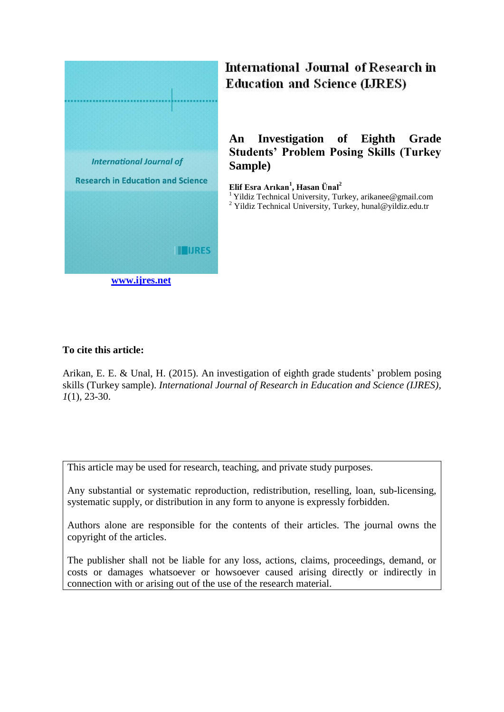

# International Journal of Research in **Education and Science (LJRES)**

## **An Investigation of Eighth Grade Students' Problem Posing Skills (Turkey Sample)**

**Elif Esra Arıkan<sup>1</sup> , Hasan Ünal<sup>2</sup>** <sup>1</sup> Yildiz Technical University, Turkey, arikanee@gmail.com

 $2$  Yildiz Technical University, Turkey, hunal@yildiz.edu.tr

## **To cite this article:**

Arikan, E. E. & Unal, H. (2015). An investigation of eighth grade students' problem posing skills (Turkey sample). *International Journal of Research in Education and Science (IJRES), 1*(1), 23-30.

This article may be used for research, teaching, and private study purposes.

Any substantial or systematic reproduction, redistribution, reselling, loan, sub-licensing, systematic supply, or distribution in any form to anyone is expressly forbidden.

Authors alone are responsible for the contents of their articles. The journal owns the copyright of the articles.

The publisher shall not be liable for any loss, actions, claims, proceedings, demand, or costs or damages whatsoever or howsoever caused arising directly or indirectly in connection with or arising out of the use of the research material.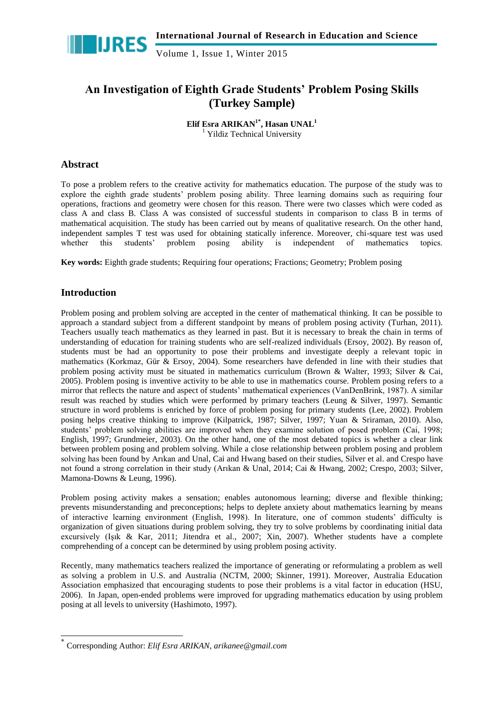

Volume 1, Issue 1, Winter 2015

## **An Investigation of Eighth Grade Students' Problem Posing Skills (Turkey Sample)**

**Elif Esra ARIKAN1\* , Hasan UNAL<sup>1</sup>** <sup>1</sup> Yildiz Technical University

## **Abstract**

To pose a problem refers to the creative activity for mathematics education. The purpose of the study was to explore the eighth grade students' problem posing ability. Three learning domains such as requiring four operations, fractions and geometry were chosen for this reason. There were two classes which were coded as class A and class B. Class A was consisted of successful students in comparison to class B in terms of mathematical acquisition. The study has been carried out by means of qualitative research. On the other hand, independent samples T test was used for obtaining statically inference. Moreover, chi-square test was used whether this students' problem posing ability is independent of mathematics topics.

**Key words:** Eighth grade students; Requiring four operations; Fractions; Geometry; Problem posing

## **Introduction**

-

Problem posing and problem solving are accepted in the center of mathematical thinking. It can be possible to approach a standard subject from a different standpoint by means of problem posing activity (Turhan, 2011). Teachers usually teach mathematics as they learned in past. But it is necessary to break the chain in terms of understanding of education for training students who are self-realized individuals (Ersoy, 2002). By reason of, students must be had an opportunity to pose their problems and investigate deeply a relevant topic in mathematics (Korkmaz, Gür & Ersoy, 2004). Some researchers have defended in line with their studies that problem posing activity must be situated in mathematics curriculum (Brown & Walter, 1993; Silver & Cai, 2005). Problem posing is inventive activity to be able to use in mathematics course. Problem posing refers to a mirror that reflects the nature and aspect of students' mathematical experiences (VanDenBrink, 1987). A similar result was reached by studies which were performed by primary teachers (Leung & Silver, 1997). Semantic structure in word problems is enriched by force of problem posing for primary students (Lee, 2002). Problem posing helps creative thinking to improve (Kilpatrick, 1987; Silver, 1997; Yuan & Sriraman, 2010). Also, students' problem solving abilities are improved when they examine solution of posed problem (Cai, 1998; English, 1997; Grundmeier, 2003). On the other hand, one of the most debated topics is whether a clear link between problem posing and problem solving. While a close relationship between problem posing and problem solving has been found by Arıkan and Unal, Cai and Hwang based on their studies, Silver et al. and Crespo have not found a strong correlation in their study (Arıkan & Unal, 2014; Cai & Hwang, 2002; Crespo, 2003; Silver, Mamona-Downs & Leung, 1996).

Problem posing activity makes a sensation; enables autonomous learning; diverse and flexible thinking; prevents misunderstanding and preconceptions; helps to deplete anxiety about mathematics learning by means of interactive learning environment (English, 1998). In literature, one of common students' difficulty is organization of given situations during problem solving, they try to solve problems by coordinating initial data excursively (Isik & Kar, 2011; Jitendra et al., 2007; Xin, 2007). Whether students have a complete comprehending of a concept can be determined by using problem posing activity.

Recently, many mathematics teachers realized the importance of generating or reformulating a problem as well as solving a problem in U.S. and Australia (NCTM, 2000; Skinner, 1991). Moreover, Australia Education Association emphasized that encouraging students to pose their problems is a vital factor in education (HSU, 2006). In Japan, open-ended problems were improved for upgrading mathematics education by using problem posing at all levels to university (Hashimoto, 1997).

<sup>\*</sup> Corresponding Author: *Elif Esra ARIKAN, arikanee@gmail.com*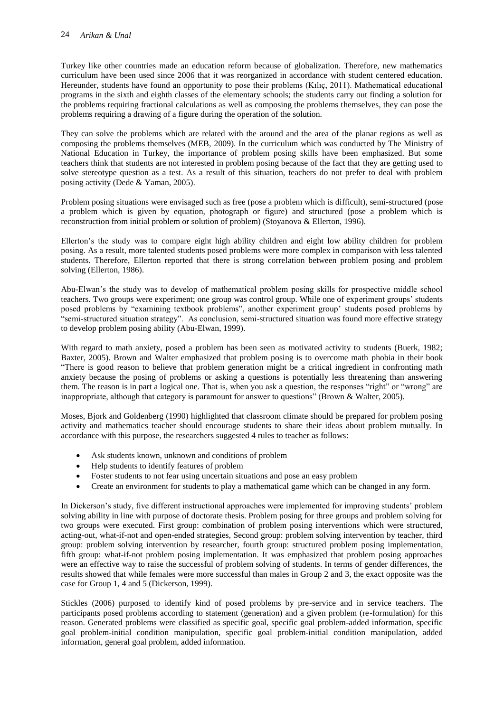Turkey like other countries made an education reform because of globalization. Therefore, new mathematics curriculum have been used since 2006 that it was reorganized in accordance with student centered education. Hereunder, students have found an opportunity to pose their problems (Kılıç, 2011). Mathematical educational programs in the sixth and eighth classes of the elementary schools; the students carry out finding a solution for the problems requiring fractional calculations as well as composing the problems themselves, they can pose the problems requiring a drawing of a figure during the operation of the solution.

They can solve the problems which are related with the around and the area of the planar regions as well as composing the problems themselves (MEB, 2009). In the curriculum which was conducted by The Ministry of National Education in Turkey, the importance of problem posing skills have been emphasized. But some teachers think that students are not interested in problem posing because of the fact that they are getting used to solve stereotype question as a test. As a result of this situation, teachers do not prefer to deal with problem posing activity (Dede & Yaman, 2005).

Problem posing situations were envisaged such as free (pose a problem which is difficult), semi-structured (pose a problem which is given by equation, photograph or figure) and structured (pose a problem which is reconstruction from initial problem or solution of problem) (Stoyanova & Ellerton, 1996).

Ellerton's the study was to compare eight high ability children and eight low ability children for problem posing. As a result, more talented students posed problems were more complex in comparison with less talented students. Therefore, Ellerton reported that there is strong correlation between problem posing and problem solving (Ellerton, 1986).

Abu-Elwan's the study was to develop of mathematical problem posing skills for prospective middle school teachers. Two groups were experiment; one group was control group. While one of experiment groups' students posed problems by "examining textbook problems", another experiment group' students posed problems by "semi-structured situation strategy". As conclusion, semi-structured situation was found more effective strategy to develop problem posing ability (Abu-Elwan, 1999).

With regard to math anxiety, posed a problem has been seen as motivated activity to students (Buerk, 1982; Baxter, 2005). Brown and Walter emphasized that problem posing is to overcome math phobia in their book "There is good reason to believe that problem generation might be a critical ingredient in confronting math anxiety because the posing of problems or asking a questions is potentially less threatening than answering them. The reason is in part a logical one. That is, when you ask a question, the responses "right" or "wrong" are inappropriate, although that category is paramount for answer to questions" (Brown & Walter, 2005).

Moses, Bjork and Goldenberg (1990) highlighted that classroom climate should be prepared for problem posing activity and mathematics teacher should encourage students to share their ideas about problem mutually. In accordance with this purpose, the researchers suggested 4 rules to teacher as follows:

- Ask students known, unknown and conditions of problem
- Help students to identify features of problem
- Foster students to not fear using uncertain situations and pose an easy problem
- Create an environment for students to play a mathematical game which can be changed in any form.

In Dickerson's study, five different instructional approaches were implemented for improving students' problem solving ability in line with purpose of doctorate thesis. Problem posing for three groups and problem solving for two groups were executed. First group: combination of problem posing interventions which were structured, acting-out, what-if-not and open-ended strategies, Second group: problem solving intervention by teacher, third group: problem solving intervention by researcher, fourth group: structured problem posing implementation, fifth group: what-if-not problem posing implementation. It was emphasized that problem posing approaches were an effective way to raise the successful of problem solving of students. In terms of gender differences, the results showed that while females were more successful than males in Group 2 and 3, the exact opposite was the case for Group 1, 4 and 5 (Dickerson, 1999).

Stickles (2006) purposed to identify kind of posed problems by pre-service and in service teachers. The participants posed problems according to statement (generation) and a given problem (re-formulation) for this reason. Generated problems were classified as specific goal, specific goal problem-added information, specific goal problem-initial condition manipulation, specific goal problem-initial condition manipulation, added information, general goal problem, added information.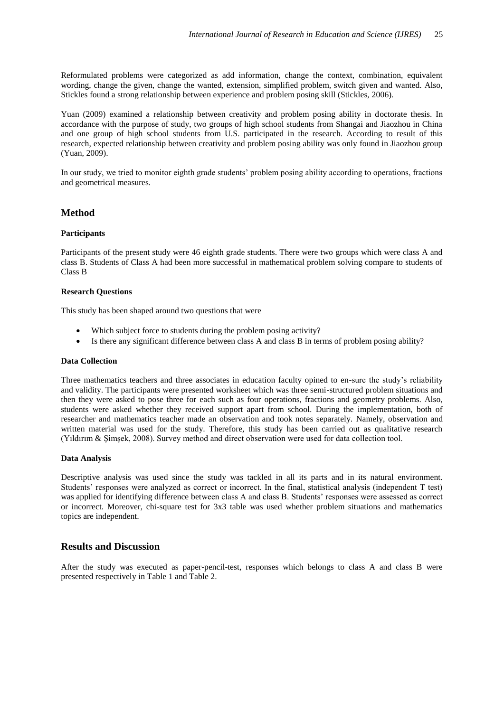Reformulated problems were categorized as add information, change the context, combination, equivalent wording, change the given, change the wanted, extension, simplified problem, switch given and wanted. Also, Stickles found a strong relationship between experience and problem posing skill (Stickles, 2006).

Yuan (2009) examined a relationship between creativity and problem posing ability in doctorate thesis. In accordance with the purpose of study, two groups of high school students from Shangai and Jiaozhou in China and one group of high school students from U.S. participated in the research. According to result of this research, expected relationship between creativity and problem posing ability was only found in Jiaozhou group (Yuan, 2009).

In our study, we tried to monitor eighth grade students' problem posing ability according to operations, fractions and geometrical measures.

### **Method**

#### **Participants**

Participants of the present study were 46 eighth grade students. There were two groups which were class A and class B. Students of Class A had been more successful in mathematical problem solving compare to students of Class B

#### **Research Questions**

This study has been shaped around two questions that were

- Which subject force to students during the problem posing activity?
- Is there any significant difference between class A and class B in terms of problem posing ability?

#### **Data Collection**

Three mathematics teachers and three associates in education faculty opined to en-sure the study's reliability and validity. The participants were presented worksheet which was three semi-structured problem situations and then they were asked to pose three for each such as four operations, fractions and geometry problems. Also, students were asked whether they received support apart from school. During the implementation, both of researcher and mathematics teacher made an observation and took notes separately. Namely, observation and written material was used for the study. Therefore, this study has been carried out as qualitative research (Yıldırım & Şimşek, 2008). Survey method and direct observation were used for data collection tool.

#### **Data Analysis**

Descriptive analysis was used since the study was tackled in all its parts and in its natural environment. Students' responses were analyzed as correct or incorrect. In the final, statistical analysis (independent T test) was applied for identifying difference between class A and class B. Students' responses were assessed as correct or incorrect. Moreover, chi-square test for 3x3 table was used whether problem situations and mathematics topics are independent.

### **Results and Discussion**

After the study was executed as paper-pencil-test, responses which belongs to class A and class B were presented respectively in Table 1 and Table 2.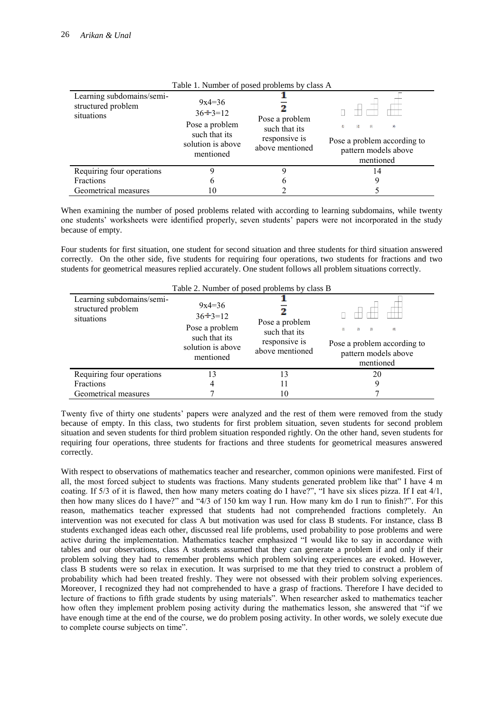| I able 1. INHING OF POSCO PRODUCTIS BY CRASS A                |                                                                                                   |                                                                     |                                                                                                                          |  |
|---------------------------------------------------------------|---------------------------------------------------------------------------------------------------|---------------------------------------------------------------------|--------------------------------------------------------------------------------------------------------------------------|--|
| Learning subdomains/semi-<br>structured problem<br>situations | $9x4=36$<br>$36 \div 3 = 12$<br>Pose a problem<br>such that its<br>solution is above<br>mentioned | Pose a problem<br>such that its<br>responsive is<br>above mentioned | 12<br>(3)<br>$ 4\rangle$<br>$\left  1 \right\rangle$<br>Pose a problem according to<br>pattern models above<br>mentioned |  |
| Requiring four operations                                     |                                                                                                   |                                                                     | 14                                                                                                                       |  |
| <b>Fractions</b>                                              | b                                                                                                 | b                                                                   |                                                                                                                          |  |
| Geometrical measures                                          | 10                                                                                                |                                                                     |                                                                                                                          |  |

#### Table 1. Number of posed problems by class A

When examining the number of posed problems related with according to learning subdomains, while twenty one students' worksheets were identified properly, seven students' papers were not incorporated in the study because of empty.

Four students for first situation, one student for second situation and three students for third situation answered correctly. On the other side, five students for requiring four operations, two students for fractions and two students for geometrical measures replied accurately. One student follows all problem situations correctly.

| Table 2. Number of posed problems by class B                  |                                                                                                   |                                                                     |                                                                                              |  |
|---------------------------------------------------------------|---------------------------------------------------------------------------------------------------|---------------------------------------------------------------------|----------------------------------------------------------------------------------------------|--|
| Learning subdomains/semi-<br>structured problem<br>situations | $9x4=36$<br>$36 \div 3 = 12$<br>Pose a problem<br>such that its<br>solution is above<br>mentioned | Pose a problem<br>such that its<br>responsive is<br>above mentioned | (2)<br> 3 <br>(4)<br>(1)<br>Pose a problem according to<br>pattern models above<br>mentioned |  |
| Requiring four operations                                     | 13                                                                                                | 13                                                                  | 20                                                                                           |  |
| Fractions                                                     | 4                                                                                                 |                                                                     |                                                                                              |  |
| Geometrical measures                                          |                                                                                                   | 10                                                                  |                                                                                              |  |

Twenty five of thirty one students' papers were analyzed and the rest of them were removed from the study because of empty. In this class, two students for first problem situation, seven students for second problem situation and seven students for third problem situation responded rightly. On the other hand, seven students for requiring four operations, three students for fractions and three students for geometrical measures answered correctly.

With respect to observations of mathematics teacher and researcher, common opinions were manifested. First of all, the most forced subject to students was fractions. Many students generated problem like that" I have 4 m coating. If 5/3 of it is flawed, then how many meters coating do I have?", "I have six slices pizza. If I eat 4/1, then how many slices do I have?" and "4/3 of 150 km way I run. How many km do I run to finish?". For this reason, mathematics teacher expressed that students had not comprehended fractions completely. An intervention was not executed for class A but motivation was used for class B students. For instance, class B students exchanged ideas each other, discussed real life problems, used probability to pose problems and were active during the implementation. Mathematics teacher emphasized "I would like to say in accordance with tables and our observations, class A students assumed that they can generate a problem if and only if their problem solving they had to remember problems which problem solving experiences are evoked. However, class B students were so relax in execution. It was surprised to me that they tried to construct a problem of probability which had been treated freshly. They were not obsessed with their problem solving experiences. Moreover, I recognized they had not comprehended to have a grasp of fractions. Therefore I have decided to lecture of fractions to fifth grade students by using materials". When researcher asked to mathematics teacher how often they implement problem posing activity during the mathematics lesson, she answered that "if we have enough time at the end of the course, we do problem posing activity. In other words, we solely execute due to complete course subjects on time".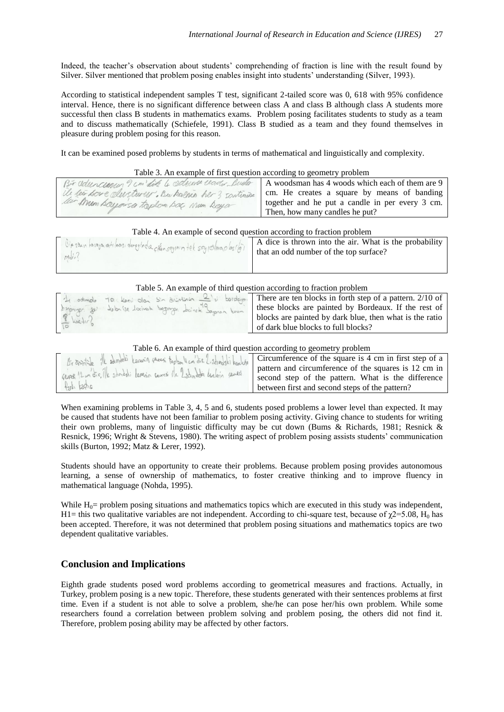Indeed, the teacher's observation about students' comprehending of fraction is line with the result found by Silver. Silver mentioned that problem posing enables insight into students' understanding (Silver, 1993).

According to statistical independent samples T test, significant 2-tailed score was 0, 618 with 95% confidence interval. Hence, there is no significant difference between class A and class B although class A students more successful then class B students in mathematics exams. Problem posing facilitates students to study as a team and to discuss mathematically (Schiefele, 1991). Class B studied as a team and they found themselves in pleasure during problem posing for this reason.

It can be examined posed problems by students in terms of mathematical and linguistically and complexity.

#### Table 3. An example of first question according to geometry problem

| Bir aduncion 9 cm did 4 sections center Busta A woodsman has 4 woods which each of them are 9 |                                                 |
|-----------------------------------------------------------------------------------------------|-------------------------------------------------|
| We lear poure alustron . Bu halma her 3 soutimine                                             | cm. He creates a square by means of banding     |
| ler Mun bayonsa toplan bac Num bayar                                                          | together and he put a candle in per every 3 cm. |
|                                                                                               | Then, how many candles he put?                  |

#### Table 4. An example of second question according to fraction problem

| $\frac{81628\times10^{16}}{10^{16}}$ havaya at loss, derevinds of the segurin tel say colorados $\sqrt{61}$ A dice is thrown into the air. What is the probability |  |
|--------------------------------------------------------------------------------------------------------------------------------------------------------------------|--|
| $n$                                                                                                                                                                |  |
|                                                                                                                                                                    |  |

#### Table 5. An example of third question according to fraction problem

| 10 dimeter 10 level day sin dividends to significant lines in forth step of a pattern. 2/10 of |                                                         |
|------------------------------------------------------------------------------------------------|---------------------------------------------------------|
| briggings geil dolor se locinat bopnings dairek Soman know                                     | these blocks are painted by Bordeaux. If the rest of    |
| $\frac{8}{10}$ koetin                                                                          | blocks are painted by dark blue, then what is the ratio |
|                                                                                                | of dark blue blocks to full blocks?                     |

#### Table 6. An example of third question according to geometry problem

|                                                                           | Brompile il sumeri Legarin paresi toplan l'en dir. Legandali legalin Circumference of the square is 4 cm in first step of a |
|---------------------------------------------------------------------------|-----------------------------------------------------------------------------------------------------------------------------|
| ceres 12 m dic, île zomești Lapenin carresi (le 2 san dece lenderin ceres | pattern and circumference of the squares is 12 cm in                                                                        |
|                                                                           | second step of the pattern. What is the difference                                                                          |
| fort keeting                                                              | between first and second steps of the pattern?                                                                              |

When examining problems in Table 3, 4, 5 and 6, students posed problems a lower level than expected. It may be caused that students have not been familiar to problem posing activity. Giving chance to students for writing their own problems, many of linguistic difficulty may be cut down (Bums & Richards, 1981; Resnick & Resnick, 1996; Wright & Stevens, 1980). The writing aspect of problem posing assists students' communication skills (Burton, 1992; Matz & Lerer, 1992).

Students should have an opportunity to create their problems. Because problem posing provides autonomous learning, a sense of ownership of mathematics, to foster creative thinking and to improve fluency in mathematical language (Nohda, 1995).

While  $H_0$ = problem posing situations and mathematics topics which are executed in this study was independent, H1= this two qualitative variables are not independent. According to chi-square test, because of  $\gamma$ 2=5.08, H<sub>0</sub> has been accepted. Therefore, it was not determined that problem posing situations and mathematics topics are two dependent qualitative variables.

#### **Conclusion and Implications**

Eighth grade students posed word problems according to geometrical measures and fractions. Actually, in Turkey, problem posing is a new topic. Therefore, these students generated with their sentences problems at first time. Even if a student is not able to solve a problem, she/he can pose her/his own problem. While some researchers found a correlation between problem solving and problem posing, the others did not find it. Therefore, problem posing ability may be affected by other factors.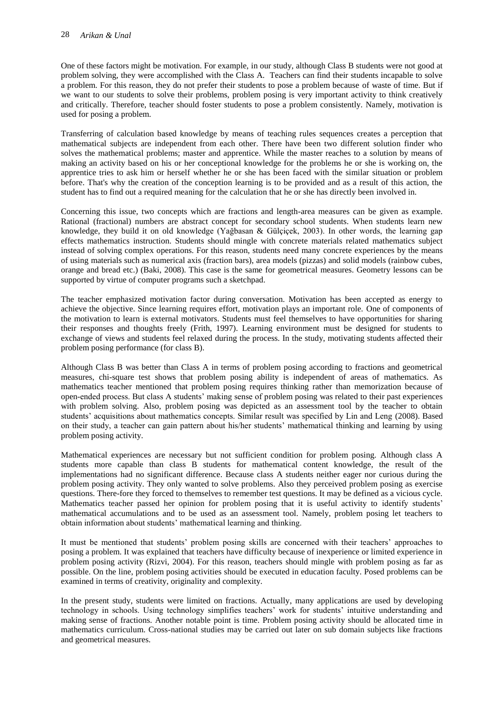#### 28 *Arikan & Unal*

One of these factors might be motivation. For example, in our study, although Class B students were not good at problem solving, they were accomplished with the Class A. Teachers can find their students incapable to solve a problem. For this reason, they do not prefer their students to pose a problem because of waste of time. But if we want to our students to solve their problems, problem posing is very important activity to think creatively and critically. Therefore, teacher should foster students to pose a problem consistently. Namely, motivation is used for posing a problem.

Transferring of calculation based knowledge by means of teaching rules sequences creates a perception that mathematical subjects are independent from each other. There have been two different solution finder who solves the mathematical problems; master and apprentice. While the master reaches to a solution by means of making an activity based on his or her conceptional knowledge for the problems he or she is working on, the apprentice tries to ask him or herself whether he or she has been faced with the similar situation or problem before. That's why the creation of the conception learning is to be provided and as a result of this action, the student has to find out a required meaning for the calculation that he or she has directly been involved in.

Concerning this issue, two concepts which are fractions and length-area measures can be given as example. Rational (fractional) numbers are abstract concept for secondary school students. When students learn new knowledge, they build it on old knowledge (Yağbasan & Gülçiçek, 2003). In other words, the learning gap effects mathematics instruction. Students should mingle with concrete materials related mathematics subject instead of solving complex operations. For this reason, students need many concrete experiences by the means of using materials such as numerical axis (fraction bars), area models (pizzas) and solid models (rainbow cubes, orange and bread etc.) (Baki, 2008). This case is the same for geometrical measures. Geometry lessons can be supported by virtue of computer programs such a sketchpad.

The teacher emphasized motivation factor during conversation. Motivation has been accepted as energy to achieve the objective. Since learning requires effort, motivation plays an important role. One of components of the motivation to learn is external motivators. Students must feel themselves to have opportunities for sharing their responses and thoughts freely (Frith, 1997). Learning environment must be designed for students to exchange of views and students feel relaxed during the process. In the study, motivating students affected their problem posing performance (for class B).

Although Class B was better than Class A in terms of problem posing according to fractions and geometrical measures, chi-square test shows that problem posing ability is independent of areas of mathematics. As mathematics teacher mentioned that problem posing requires thinking rather than memorization because of open-ended process. But class A students' making sense of problem posing was related to their past experiences with problem solving. Also, problem posing was depicted as an assessment tool by the teacher to obtain students' acquisitions about mathematics concepts. Similar result was specified by Lin and Leng (2008). Based on their study, a teacher can gain pattern about his/her students' mathematical thinking and learning by using problem posing activity.

Mathematical experiences are necessary but not sufficient condition for problem posing. Although class A students more capable than class B students for mathematical content knowledge, the result of the implementations had no significant difference. Because class A students neither eager nor curious during the problem posing activity. They only wanted to solve problems. Also they perceived problem posing as exercise questions. There-fore they forced to themselves to remember test questions. It may be defined as a vicious cycle. Mathematics teacher passed her opinion for problem posing that it is useful activity to identify students' mathematical accumulations and to be used as an assessment tool. Namely, problem posing let teachers to obtain information about students' mathematical learning and thinking.

It must be mentioned that students' problem posing skills are concerned with their teachers' approaches to posing a problem. It was explained that teachers have difficulty because of inexperience or limited experience in problem posing activity (Rizvi, 2004). For this reason, teachers should mingle with problem posing as far as possible. On the line, problem posing activities should be executed in education faculty. Posed problems can be examined in terms of creativity, originality and complexity.

In the present study, students were limited on fractions. Actually, many applications are used by developing technology in schools. Using technology simplifies teachers' work for students' intuitive understanding and making sense of fractions. Another notable point is time. Problem posing activity should be allocated time in mathematics curriculum. Cross-national studies may be carried out later on sub domain subjects like fractions and geometrical measures.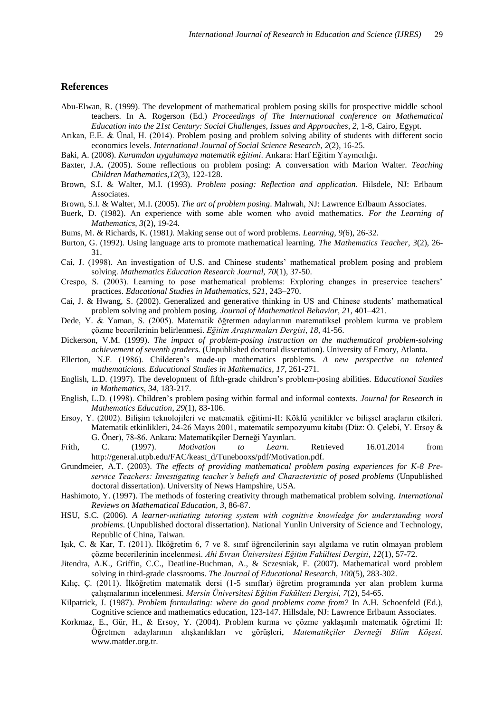#### **References**

- Abu-Elwan, R. (1999). The development of mathematical problem posing skills for prospective middle school teachers. In A. Rogerson (Ed.) *Proceedings of The International conference on Mathematical Education into the 21st Century: Social Challenges, Issues and Approaches*, *2*, 1-8, Cairo, Egypt.
- Arıkan, E.E. & Ünal, H. (2014). Problem posing and problem solving ability of students with different socio economics levels. *International Journal of Social Science Research*, *2*(2), 16-25.
- Baki, A. (2008). *Kuramdan uygulamaya matematik eğitimi*. Ankara: Harf Eğitim Yayıncılığı.
- Baxter, J.A. (2005). Some reflections on problem posing: A conversation with Marion Walter. *Teaching Children Mathematics,12*(3), 122-128.
- Brown, S.I. & Walter, M.I. (1993). *Problem posing: Reflection and application*. Hilsdele, NJ: Erlbaum Associates.
- Brown, S.I. & Walter, M.I. (2005). *The art of problem posing*. Mahwah, NJ: Lawrence Erlbaum Associates.
- Buerk, D. (1982). An experience with some able women who avoid mathematics. *For the Learning of Mathematics, 3*(2), 19-24.
- Bums, M. & Richards, K. (1981*).* Making sense out of word problems*. Learning, 9(*6), 26-32.
- Burton, G. (1992). Using language arts to promote mathematical learning. *The Mathematics Teacher*, *3*(2), 26- 31.
- Cai, J. (1998). An investigation of U.S. and Chinese students' mathematical problem posing and problem solving. *Mathematics Education Research Journal, 70*(1), 37-50.
- Crespo, S. (2003). Learning to pose mathematical problems: Exploring changes in preservice teachers' practices. *Educational Studies in Mathematics*, *521*, 243–270.
- Cai, J. & Hwang, S. (2002). Generalized and generative thinking in US and Chinese students' mathematical problem solving and problem posing. *Journal of Mathematical Behavior*, *21*, 401–421.
- Dede, Y. & Yaman, S. (2005). Matematik öğretmen adaylarının matematiksel problem kurma ve problem çözme becerilerinin belirlenmesi. *Eğitim Araştırmaları Dergisi*, *18*, 41-56.
- Dickerson, V.M. (1999). *The impact of problem-posing instruction on the mathematical problem-solving achievement of seventh graders.* (Unpublished doctoral dissertation). University of Emory, Atlanta.
- Ellerton, N.F. (1986). Childeren's made-up mathematics problems. *A new perspective on talented mathematicians. Educational Studies in Mathematics*, *17*, 261-271.
- English, L.D. (1997). The development of fifth-grade children's problem-posing abilities. Ed*ucational Studies in Mathematics*, *34,* 183-217.
- English, L.D. (1998). Children's problem posing within formal and informal contexts. *Journal for Research in Mathematics Education*, *29*(1), 83-106.
- Ersoy, Y. (2002). Bilişim teknolojileri ve matematik eğitimi-II: Köklü yenilikler ve bilişsel araçların etkileri. Matematik etkinlikleri, 24-26 Mayıs 2001, matematik sempozyumu kitabı (Düz: O. Çelebi, Y. Ersoy & G. Öner), 78-86. Ankara: Matematikçiler Derneği Yayınları.
- Frith, C. (1997). *Motivation to Learn*. Retrieved 16.01.2014 from http://general.utpb.edu/FAC/keast\_d/Tunebooxs/pdf/Motivation.pdf.
- Grundmeier, A.T. (2003). *The effects of providing mathematical problem posing experiences for K-8 Preservice Teachers: Investigating teacher's beliefs and Characteristic of posed problems* (Unpublished doctoral dissertation). University of News Hampshire, USA.
- Hashimoto, Y. (1997). The methods of fostering creativity through mathematical problem solving. *International Reviews on Mathematical Education, 3*, 86-87.
- HSU, S.C. (2006). *A learner-ınitiating tutoring system with cognitive knowledge for understanding word problems*. (Unpublished doctoral dissertation). National Yunlin University of Science and Technology, Republic of China, Taiwan.
- Işık, C. & Kar, T. (2011). İlköğretim 6, 7 ve 8. sınıf öğrencilerinin sayı algılama ve rutin olmayan problem çözme becerilerinin incelenmesi. *Ahi Evran Üniversitesi Eğitim Fakültesi Dergisi*, *12*(1), 57-72.
- Jitendra, A.K., Griffin, C.C., Deatline-Buchman, A., & Sczesniak, E. (2007). Mathematical word problem solving in third-grade classrooms. *The Journal of Educational Research*, *100*(5), 283-302.
- Kılıç, Ç. (2011). İlköğretim matematik dersi (1-5 sınıflar) öğretim programında yer alan problem kurma çalışmalarının incelenmesi. *Mersin Üniversitesi Eğitim Fakültesi Dergisi, 7*(2), 54-65.
- Kilpatrick, J. (1987). *Problem formulating: where do good problems come from?* In A.H. Schoenfeld (Ed.), Cognitive science and mathematics education, 123-147. Hillsdale, NJ: Lawrence Erlbaum Associates.
- Korkmaz, E., Gür, H., & Ersoy, Y. (2004). Problem kurma ve çözme yaklaşımlı matematik öğretimi II: Öğretmen adaylarının alışkanlıkları ve görüşleri, *Matematikçiler Derneği Bilim Köşesi*. www.matder.org.tr.